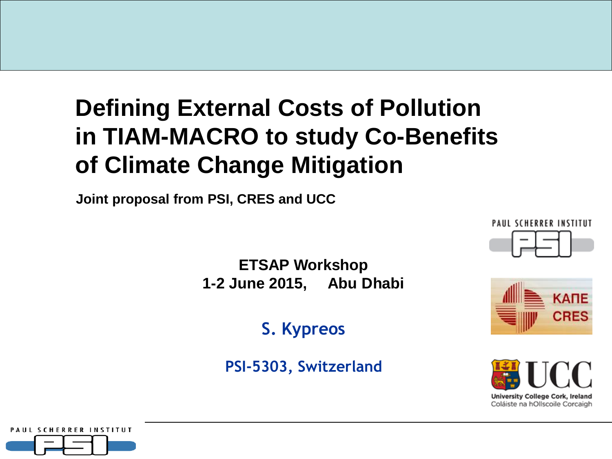### **Defining External Costs of Pollution in TIAM-MACRO to study Co-Benefits of Climate Change Mitigation**

**Joint proposal from PSI, CRES and UCC**

**PAUL SCHERRER INSTITUT** 

**ETSAP Workshop 1-2 June 2015, Abu Dhabi**

**S. Kypreos**

**PSI-5303, Switzerland**





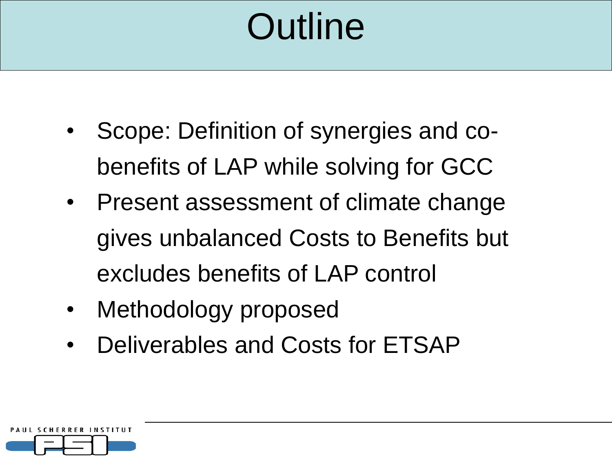## **Outline**

- Scope: Definition of synergies and cobenefits of LAP while solving for GCC
- Present assessment of climate change gives unbalanced Costs to Benefits but excludes benefits of LAP control
- Methodology proposed
- Deliverables and Costs for ETSAP

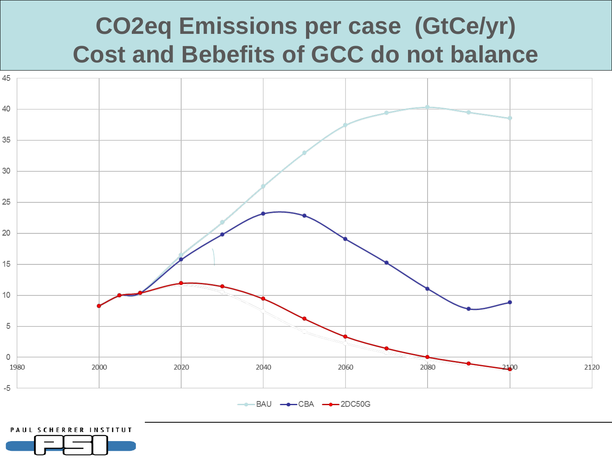### **CO2eq Emissions per case (GtCe/yr) Cost and Bebefits of GCC do not balance**



**PAUL SCHERRER INSTITUT**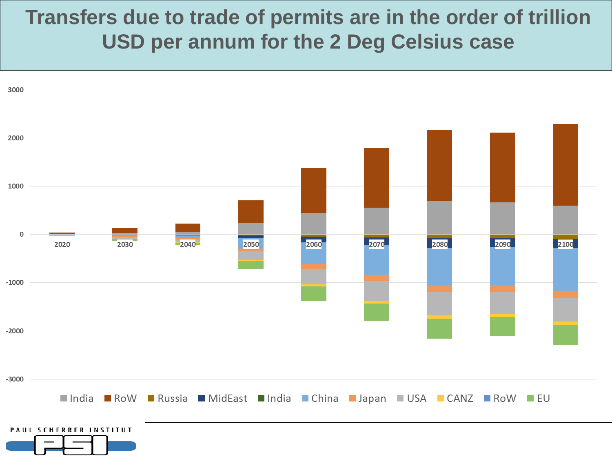#### **Transfers due to trade of permits are in the order of trillion USD per annum for the 2 Deg Celsius case**

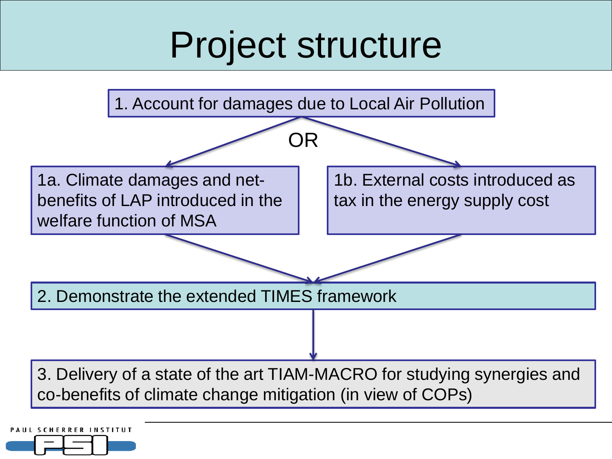## Project structure



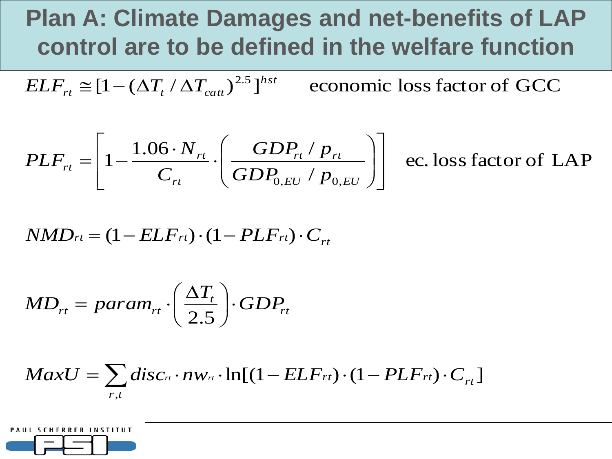### **Plan A: Climate Damages and net-benefits of LAP control are to be defined in the welfare function**

economic loss factor of GCC 2.5 *hst*  $\frac{d}{dt} \approx [1 - (\Delta T_t / \Delta T_{cat})]$  $ELF_{rt} \cong [1 - (\Delta T_t / \Delta T_t)]$ 

$$
PLF_{rt} = \left[1 - \frac{1.06 \cdot N_{rt}}{C_{rt}} \cdot \left(\frac{GDP_{rt} / p_{rt}}{GDP_{0,EU} / p_{0,EU}}\right)\right]
$$

ec. lossfactor of LAP

$$
NMD_{rt} = (1 - ELF_{rt}) \cdot (1 - PLF_{rt}) \cdot C_{rt}
$$

$$
MD_{rt} = param_{rt} \cdot \left(\frac{\Delta T_t}{2.5}\right) \cdot GDP_{rt}
$$

$$
MaxU = \sum_{r,t} disc_{r} \cdot nw_{r} \cdot \ln[(1 - ELF_{rt}) \cdot (1 - PLF_{rt}) \cdot C_{rt}]
$$

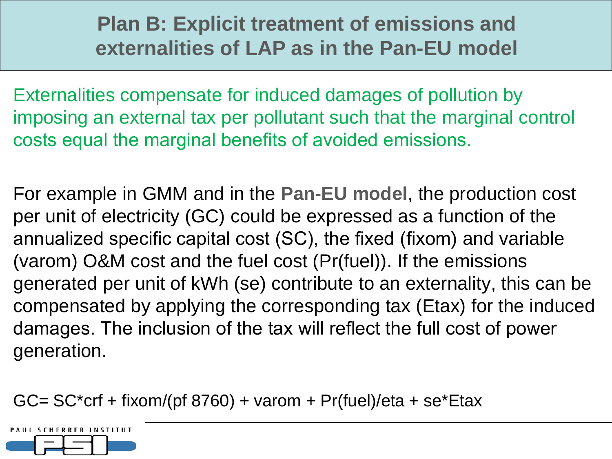#### **Plan B: Explicit treatment of emissions and externalities of LAP as in the Pan-EU model**

Externalities compensate for induced damages of pollution by imposing an external tax per pollutant such that the marginal control costs equal the marginal benefits of avoided emissions.

For example in GMM and in the **Pan-EU model**, the production cost per unit of electricity (GC) could be expressed as a function of the annualized specific capital cost (SC), the fixed (fixom) and variable (varom) O&M cost and the fuel cost (Pr(fuel)). If the emissions generated per unit of kWh (se) contribute to an externality, this can be compensated by applying the corresponding tax (Etax) for the induced damages. The inclusion of the tax will reflect the full cost of power generation.

GC=  $SC*$ crf + fixom/(pf 8760) + varom + Pr(fuel)/eta + se $*$ Etax

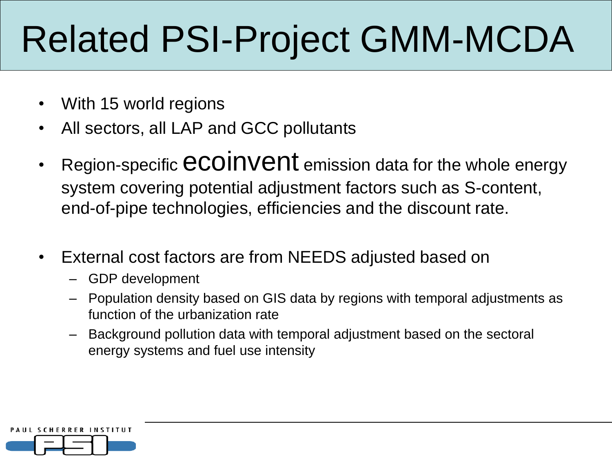# Related PSI-Project GMM-MCDA

- With 15 world regions
- All sectors, all LAP and GCC pollutants
- Region-specific **CCOINVENt** emission data for the whole energy system covering potential adjustment factors such as S-content, end-of-pipe technologies, efficiencies and the discount rate.
- External cost factors are from NEEDS adjusted based on
	- GDP development
	- Population density based on GIS data by regions with temporal adjustments as function of the urbanization rate
	- Background pollution data with temporal adjustment based on the sectoral energy systems and fuel use intensity